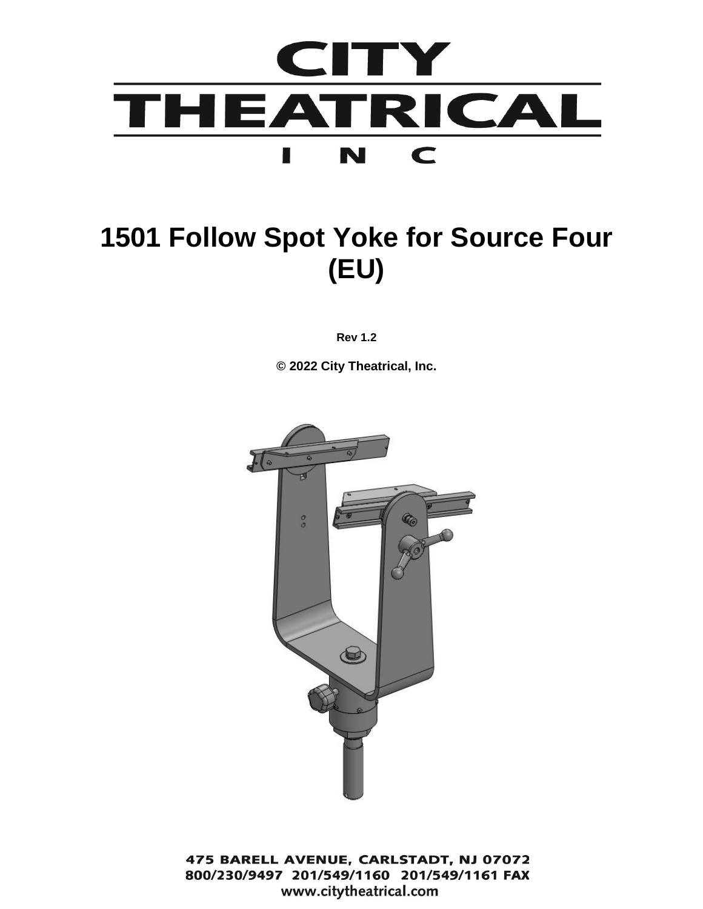

# **1501 Follow Spot Yoke for Source Four (EU)**

**Rev 1.2**

**© 2022 City Theatrical, Inc.**



475 BARELL AVENUE, CARLSTADT, NJ 07072 800/230/9497 201/549/1160 201/549/1161 FAX www.citytheatrical.com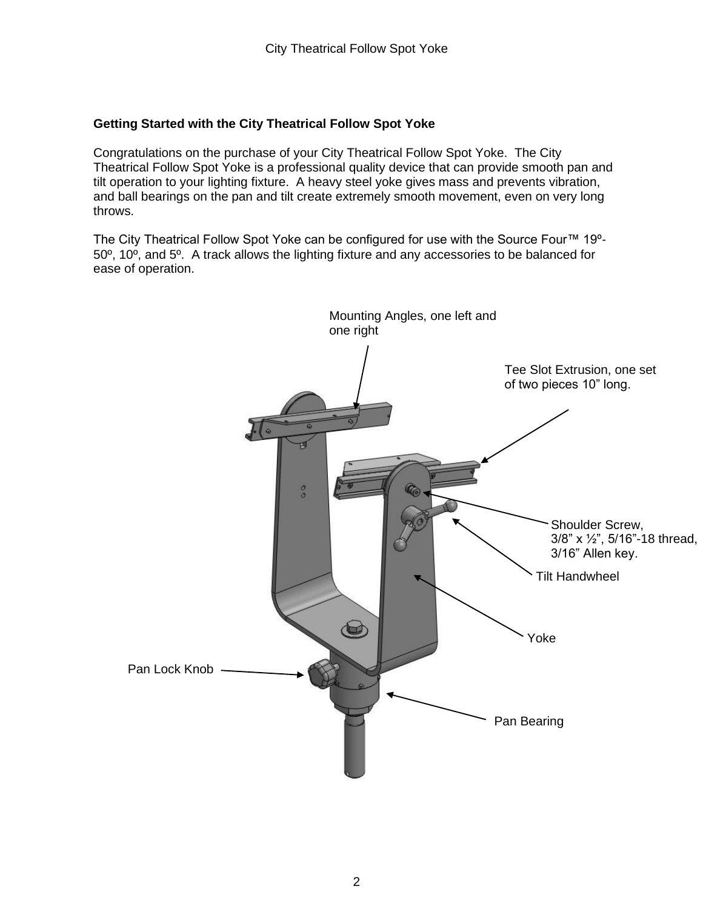#### **Getting Started with the City Theatrical Follow Spot Yoke**

Congratulations on the purchase of your City Theatrical Follow Spot Yoke. The City Theatrical Follow Spot Yoke is a professional quality device that can provide smooth pan and tilt operation to your lighting fixture. A heavy steel yoke gives mass and prevents vibration, and ball bearings on the pan and tilt create extremely smooth movement, even on very long throws.

The City Theatrical Follow Spot Yoke can be configured for use with the Source Four™ 19º-50º, 10º, and 5º. A track allows the lighting fixture and any accessories to be balanced for ease of operation.

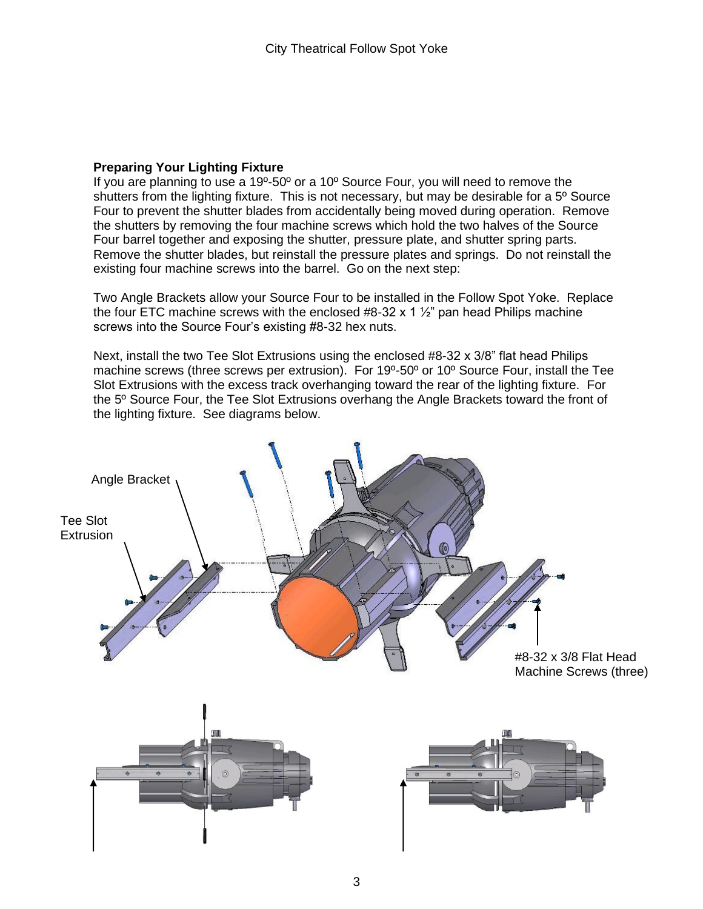#### **Preparing Your Lighting Fixture**

If you are planning to use a 19º-50º or a 10º Source Four, you will need to remove the shutters from the lighting fixture. This is not necessary, but may be desirable for a 5º Source Four to prevent the shutter blades from accidentally being moved during operation. Remove the shutters by removing the four machine screws which hold the two halves of the Source Four barrel together and exposing the shutter, pressure plate, and shutter spring parts. Remove the shutter blades, but reinstall the pressure plates and springs. Do not reinstall the existing four machine screws into the barrel. Go on the next step:

Two Angle Brackets allow your Source Four to be installed in the Follow Spot Yoke. Replace the four ETC machine screws with the enclosed #8-32 x 1  $\frac{1}{2}$ " pan head Philips machine screws into the Source Four's existing #8-32 hex nuts.

Next, install the two Tee Slot Extrusions using the enclosed #8-32 x 3/8" flat head Philips machine screws (three screws per extrusion). For 19º-50º or 10º Source Four, install the Tee Slot Extrusions with the excess track overhanging toward the rear of the lighting fixture. For the 5º Source Four, the Tee Slot Extrusions overhang the Angle Brackets toward the front of the lighting fixture. See diagrams below.

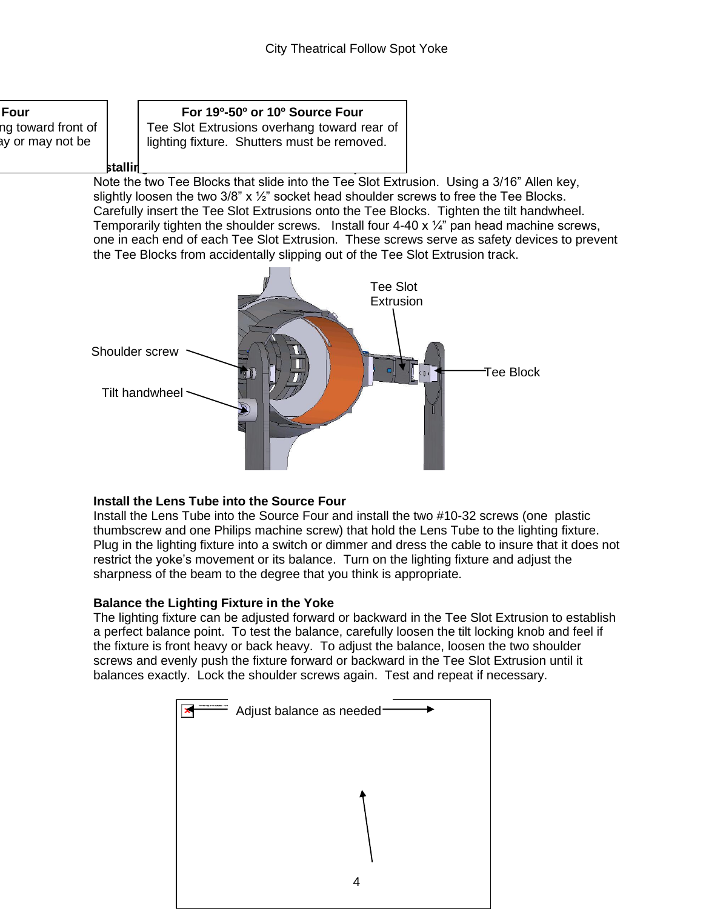

### **Install the Lens Tube into the Source Four**

Install the Lens Tube into the Source Four and install the two #10-32 screws (one plastic thumbscrew and one Philips machine screw) that hold the Lens Tube to the lighting fixture. Plug in the lighting fixture into a switch or dimmer and dress the cable to insure that it does not restrict the yoke's movement or its balance. Turn on the lighting fixture and adjust the sharpness of the beam to the degree that you think is appropriate.

### **Balance the Lighting Fixture in the Yoke**

The lighting fixture can be adjusted forward or backward in the Tee Slot Extrusion to establish a perfect balance point. To test the balance, carefully loosen the tilt locking knob and feel if the fixture is front heavy or back heavy. To adjust the balance, loosen the two shoulder screws and evenly push the fixture forward or backward in the Tee Slot Extrusion until it balances exactly. Lock the shoulder screws again. Test and repeat if necessary.

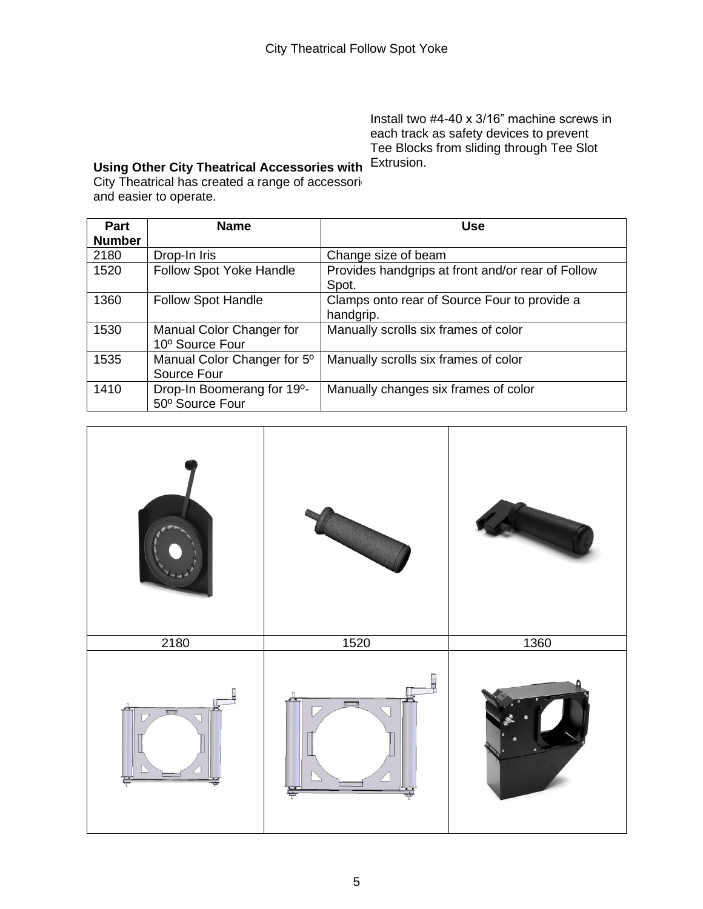Install two #4-40 x 3/16" machine screws in each track as safety devices to prevent Tee Blocks from sliding through Tee Slot

#### Using Other City Theatrical Accessories with <sup>Extrusion.</sup> City Theatrical has created a range of accessori and easier to operate.

| <b>Part</b><br><b>Number</b> | <b>Name</b>                                   | <b>Use</b>                                                 |
|------------------------------|-----------------------------------------------|------------------------------------------------------------|
| 2180                         | Drop-In Iris                                  | Change size of beam                                        |
| 1520                         | Follow Spot Yoke Handle                       | Provides handgrips at front and/or rear of Follow<br>Spot. |
| 1360                         | <b>Follow Spot Handle</b>                     | Clamps onto rear of Source Four to provide a<br>handgrip.  |
| 1530                         | Manual Color Changer for<br>10° Source Four   | Manually scrolls six frames of color                       |
| 1535                         | Manual Color Changer for 5°<br>Source Four    | Manually scrolls six frames of color                       |
| 1410                         | Drop-In Boomerang for 19°-<br>50° Source Four | Manually changes six frames of color                       |